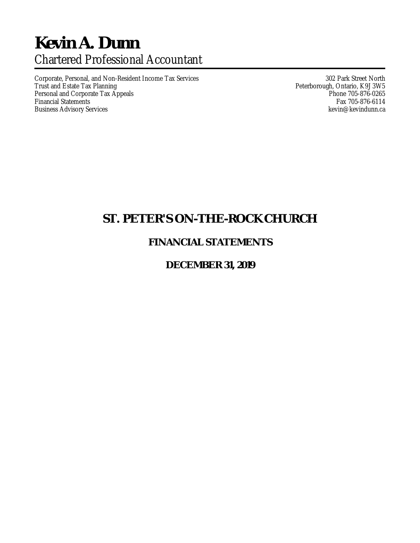# **Kevin A. Dunn** Chartered Professional Accountant

Corporate, Personal, and Non-Resident Income Tax Services 302 Park Street North<br>Trust and Estate Tax Planning 302 Park Street North 1 Peterborough, Ontario, K9J 3W5 Personal and Corporate Tax Appeals<br>Financial Statements **Phone 705-876-0265**<br>Fax 705-876-6114 Financial Statements Fax 705-876-6114<br>Business Advisory Services Fax 705-876-6114 Business Advisory Services

Peterborough, Ontario, K9J 3W5<br>Phone 705-876-0265

## **ST. PETER'S ON-THE-ROCK CHURCH**

### **FINANCIAL STATEMENTS**

### **DECEMBER 31, 2019**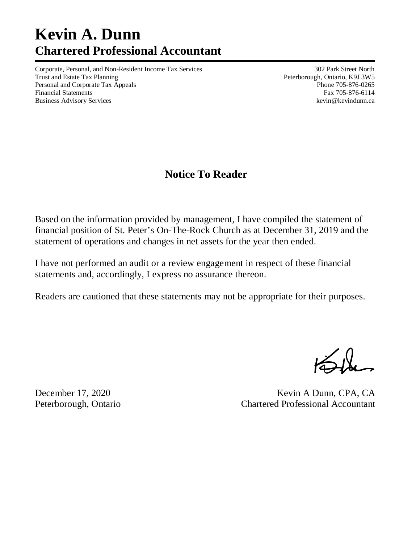# **Kevin A. Dunn Chartered Professional Accountant**

Corporate, Personal, and Non-Resident Income Tax Services 302 Park Street North Trust and Estate Tax Planning **Peterborough, Ontario, K9J 3W5** Peterborough, Ontario, K9J 3W5 Personal and Corporate Tax Appeals **Phone 705-876-0265** Financial Statements Fax 705-876-6114 Business Advisory Services **and Services** kevindunn.ca

## **Notice To Reader**

Based on the information provided by management, I have compiled the statement of financial position of St. Peter's On-The-Rock Church as at December 31, 2019 and the statement of operations and changes in net assets for the year then ended.

I have not performed an audit or a review engagement in respect of these financial statements and, accordingly, I express no assurance thereon.

Readers are cautioned that these statements may not be appropriate for their purposes.

December 17, 2020 Kevin A Dunn, CPA, CA Peterborough, Ontario Chartered Professional Accountant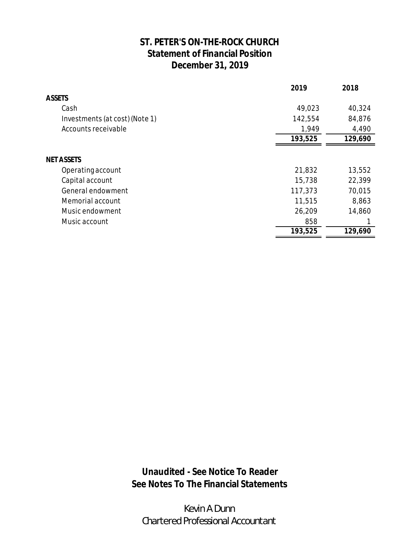### **ST. PETER'S ON-THE-ROCK CHURCH Statement of Financial Position December 31, 2019**

|                                | 2019    | 2018    |
|--------------------------------|---------|---------|
| <b>ASSETS</b>                  |         |         |
| Cash                           | 49,023  | 40,324  |
| Investments (at cost) (Note 1) | 142,554 | 84,876  |
| Accounts receivable            | 1,949   | 4,490   |
|                                | 193,525 | 129,690 |
|                                |         |         |
| <b>NET ASSETS</b>              |         |         |
| Operating account              | 21,832  | 13,552  |
| Capital account                | 15,738  | 22,399  |
| General endowment              | 117,373 | 70,015  |
| Memorial account               | 11,515  | 8,863   |
| Music endowment                | 26,209  | 14,860  |
| Music account                  | 858     |         |
|                                | 193,525 | 129,690 |

**Unaudited - See Notice To Reader See Notes To The Financial Statements**

*Kevin A Dunn Chartered Professional Accountant*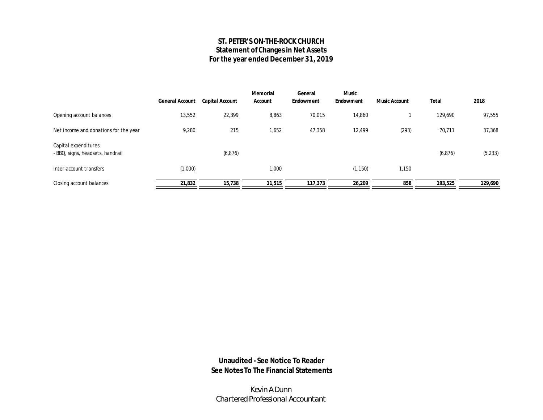### **ST. PETER'S ON-THE-ROCK CHURCH Statement of Changes in Net Assets For the year ended December 31, 2019**

|                                                          | General Account | Capital Account | Memorial<br>Account | General<br>Endowment | Music<br>Endowment | Music Account | Total    | 2018    |
|----------------------------------------------------------|-----------------|-----------------|---------------------|----------------------|--------------------|---------------|----------|---------|
| Opening account balances                                 | 13,552          | 22,399          | 8,863               | 70,015               | 14,860             |               | 129,690  | 97,555  |
| Net income and donations for the year                    | 9,280           | 215             | 1,652               | 47,358               | 12,499             | (293)         | 70,711   | 37,368  |
| Capital expenditures<br>- BBQ, signs, headsets, handrail |                 | (6, 876)        |                     |                      |                    |               | (6, 876) | (5,233) |
| Inter-account transfers                                  | (1,000)         |                 | 1,000               |                      | (1, 150)           | 1,150         |          |         |
| Closing account balances                                 | 21,832          | 15,738          | 11,515              | 117,373              | 26,209             | 858           | 193,525  | 129,690 |

**Unaudited - See Notice To Reader See Notes To The Financial Statements**

*Kevin A Dunn Chartered Professional Accountant*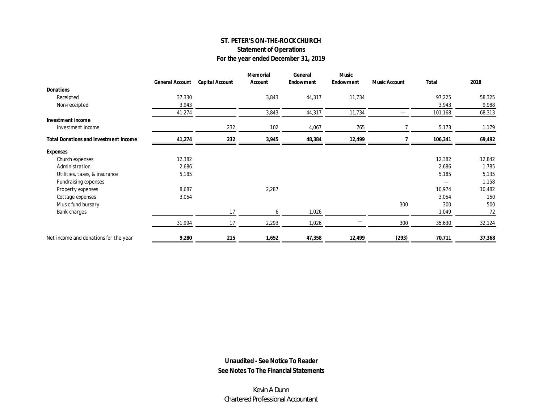### **ST. PETER'S ON-THE-ROCK CHURCH Statement of Operations For the year ended December 31, 2019**

|                                              | General Account | Capital Account | Memorial<br>Account | General<br>Endowment | Music<br>Endowment | Music Account | Total                    | 2018   |
|----------------------------------------------|-----------------|-----------------|---------------------|----------------------|--------------------|---------------|--------------------------|--------|
| Donations                                    |                 |                 |                     |                      |                    |               |                          |        |
| Receipted                                    | 37,330          |                 | 3,843               | 44,317               | 11,734             |               | 97,225                   | 58,325 |
| Non-receipted                                | 3,943           |                 |                     |                      |                    |               | 3,943                    | 9,988  |
|                                              | 41,274          |                 | 3,843               | 44,317               | 11,734             | ---           | 101,168                  | 68,313 |
| Investment income                            |                 |                 |                     |                      |                    |               |                          |        |
| Investment income                            |                 | 232             | 102                 | 4,067                | 765                |               | 5,173                    | 1,179  |
| <b>Total Donations and Investment Income</b> | 41,274          | 232             | 3,945               | 48,384               | 12,499             |               | 106,341                  | 69,492 |
| Expenses                                     |                 |                 |                     |                      |                    |               |                          |        |
| Church expenses                              | 12,382          |                 |                     |                      |                    |               | 12,382                   | 12,842 |
| Administration                               | 2,686           |                 |                     |                      |                    |               | 2,686                    | 1,785  |
| Utilities, taxes, & insurance                | 5,185           |                 |                     |                      |                    |               | 5,185                    | 5,135  |
| Fundraising expenses                         |                 |                 |                     |                      |                    |               | $\hspace{0.05cm} \ldots$ | 1,158  |
| Property expenses                            | 8,687           |                 | 2,287               |                      |                    |               | 10,974                   | 10,482 |
| Cottage expenses                             | 3,054           |                 |                     |                      |                    |               | 3,054                    | 150    |
| Music fund bursary                           |                 |                 |                     |                      |                    | 300           | 300                      | 500    |
| Bank charges                                 |                 | 17              | 6                   | 1,026                |                    |               | 1,049                    | 72     |
|                                              | 31,994          | 17              | 2,293               | 1,026                |                    | 300           | 35,630                   | 32,124 |
| Net income and donations for the year        | 9,280           | 215             | 1,652               | 47,358               | 12,499             | (293)         | 70,711                   | 37,368 |

**Unaudited - See Notice To Reader See Notes To The Financial Statements**